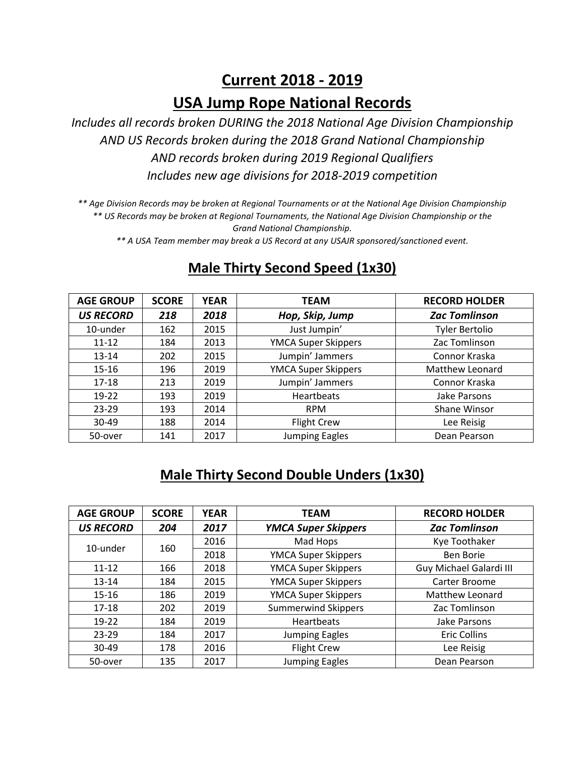# **Current 2018 - 2019 USA Jump Rope National Records**

*Includes all records broken DURING the 2018 National Age Division Championship AND US Records broken during the 2018 Grand National Championship AND records broken during 2019 Regional Qualifiers Includes new age divisions for 2018-2019 competition*

*\*\* Age Division Records may be broken at Regional Tournaments or at the National Age Division Championship \*\* US Records may be broken at Regional Tournaments, the National Age Division Championship or the Grand National Championship.*

*\*\* A USA Team member may break a US Record at any USAJR sponsored/sanctioned event.*

| <b>AGE GROUP</b> | <b>SCORE</b> | <b>YEAR</b> | TEAM                       | <b>RECORD HOLDER</b>  |
|------------------|--------------|-------------|----------------------------|-----------------------|
| <b>US RECORD</b> | 218          | 2018        | Hop, Skip, Jump            | <b>Zac Tomlinson</b>  |
| 10-under         | 162          | 2015        | Just Jumpin'               | <b>Tyler Bertolio</b> |
| $11 - 12$        | 184          | 2013        | YMCA Super Skippers        | Zac Tomlinson         |
| $13 - 14$        | 202          | 2015        | Jumpin' Jammers            | Connor Kraska         |
| $15 - 16$        | 196          | 2019        | <b>YMCA Super Skippers</b> | Matthew Leonard       |
| $17 - 18$        | 213          | 2019        | Jumpin' Jammers            | Connor Kraska         |
| $19-22$          | 193          | 2019        | <b>Heartbeats</b>          | Jake Parsons          |
| $23 - 29$        | 193          | 2014        | <b>RPM</b>                 | Shane Winsor          |
| 30-49            | 188          | 2014        | <b>Flight Crew</b>         | Lee Reisig            |
| 50-over          | 141          | 2017        | <b>Jumping Eagles</b>      | Dean Pearson          |

#### **Male Thirty Second Speed (1x30)**

#### **Male Thirty Second Double Unders (1x30)**

| <b>AGE GROUP</b> | <b>SCORE</b> | <b>YEAR</b> | <b>TEAM</b>                | <b>RECORD HOLDER</b>    |
|------------------|--------------|-------------|----------------------------|-------------------------|
| <b>US RECORD</b> | 204          | 2017        | <b>YMCA Super Skippers</b> | <b>Zac Tomlinson</b>    |
| 10-under         | 160          | 2016        | Mad Hops                   | Kye Toothaker           |
|                  |              | 2018        | <b>YMCA Super Skippers</b> | <b>Ben Borie</b>        |
| $11 - 12$        | 166          | 2018        | <b>YMCA Super Skippers</b> | Guy Michael Galardi III |
| $13 - 14$        | 184          | 2015        | <b>YMCA Super Skippers</b> | Carter Broome           |
| $15 - 16$        | 186          | 2019        | <b>YMCA Super Skippers</b> | Matthew Leonard         |
| $17 - 18$        | 202          | 2019        | <b>Summerwind Skippers</b> | Zac Tomlinson           |
| $19-22$          | 184          | 2019        | <b>Heartbeats</b>          | Jake Parsons            |
| $23 - 29$        | 184          | 2017        | <b>Jumping Eagles</b>      | <b>Eric Collins</b>     |
| 30-49            | 178          | 2016        | <b>Flight Crew</b>         | Lee Reisig              |
| 50-over          | 135          | 2017        | <b>Jumping Eagles</b>      | Dean Pearson            |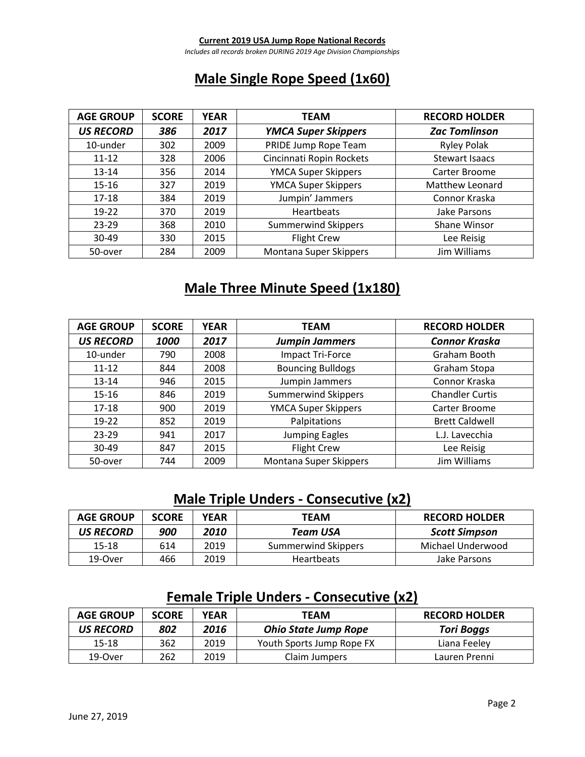#### **Current 2019 USA Jump Rope National Records**

*Includes all records broken DURING 2019 Age Division Championships*

### **Male Single Rope Speed (1x60)**

| <b>AGE GROUP</b> | <b>SCORE</b> | <b>YEAR</b> | <b>TEAM</b>                | <b>RECORD HOLDER</b> |
|------------------|--------------|-------------|----------------------------|----------------------|
| <b>US RECORD</b> | 386          | 2017        | <b>YMCA Super Skippers</b> | <b>Zac Tomlinson</b> |
| 10-under         | 302          | 2009        | PRIDE Jump Rope Team       | <b>Ryley Polak</b>   |
| $11 - 12$        | 328          | 2006        | Cincinnati Ropin Rockets   | Stewart Isaacs       |
| $13 - 14$        | 356          | 2014        | <b>YMCA Super Skippers</b> | Carter Broome        |
| $15 - 16$        | 327          | 2019        | <b>YMCA Super Skippers</b> | Matthew Leonard      |
| $17 - 18$        | 384          | 2019        | Jumpin' Jammers            | Connor Kraska        |
| $19 - 22$        | 370          | 2019        | <b>Heartbeats</b>          | Jake Parsons         |
| $23 - 29$        | 368          | 2010        | <b>Summerwind Skippers</b> | <b>Shane Winsor</b>  |
| 30-49            | 330          | 2015        | <b>Flight Crew</b>         | Lee Reisig           |
| 50-over          | 284          | 2009        | Montana Super Skippers     | Jim Williams         |

#### **Male Three Minute Speed (1x180)**

| <b>AGE GROUP</b> | <b>SCORE</b> | <b>YEAR</b> | <b>TEAM</b>                | <b>RECORD HOLDER</b>   |
|------------------|--------------|-------------|----------------------------|------------------------|
| <b>US RECORD</b> | 1000         | 2017        | <b>Jumpin Jammers</b>      | <b>Connor Kraska</b>   |
| 10-under         | 790          | 2008        | Impact Tri-Force           | Graham Booth           |
| $11 - 12$        | 844          | 2008        | <b>Bouncing Bulldogs</b>   | Graham Stopa           |
| $13 - 14$        | 946          | 2015        | Jumpin Jammers             | Connor Kraska          |
| $15 - 16$        | 846          | 2019        | <b>Summerwind Skippers</b> | <b>Chandler Curtis</b> |
| $17 - 18$        | 900          | 2019        | <b>YMCA Super Skippers</b> | Carter Broome          |
| $19-22$          | 852          | 2019        | Palpitations               | <b>Brett Caldwell</b>  |
| $23 - 29$        | 941          | 2017        | <b>Jumping Eagles</b>      | L.J. Lavecchia         |
| $30 - 49$        | 847          | 2015        | <b>Flight Crew</b>         | Lee Reisig             |
| 50-over          | 744          | 2009        | Montana Super Skippers     | Jim Williams           |

#### **Male Triple Unders - Consecutive (x2)**

| <b>AGE GROUP</b> | <b>SCORE</b> | YEAR | <b>TEAM</b>         | <b>RECORD HOLDER</b> |
|------------------|--------------|------|---------------------|----------------------|
| US RECORD        | 900          | 2010 | Team USA            | <b>Scott Simpson</b> |
| 15-18            | 614          | 2019 | Summerwind Skippers | Michael Underwood    |
| 19-Over          | 466          | 2019 | <b>Heartbeats</b>   | Jake Parsons         |

#### **Female Triple Unders - Consecutive (x2)**

| <b>AGE GROUP</b> | <b>SCORE</b> | YEAR | <b>TEAM</b>                 | <b>RECORD HOLDER</b> |
|------------------|--------------|------|-----------------------------|----------------------|
| US RECORD        | 802          | 2016 | <b>Ohio State Jump Rope</b> | <b>Tori Boggs</b>    |
| 15-18            | 362          | 2019 | Youth Sports Jump Rope FX   | Liana Feeley         |
| 19-Over          | 262          | 2019 | Claim Jumpers               | Lauren Prenni        |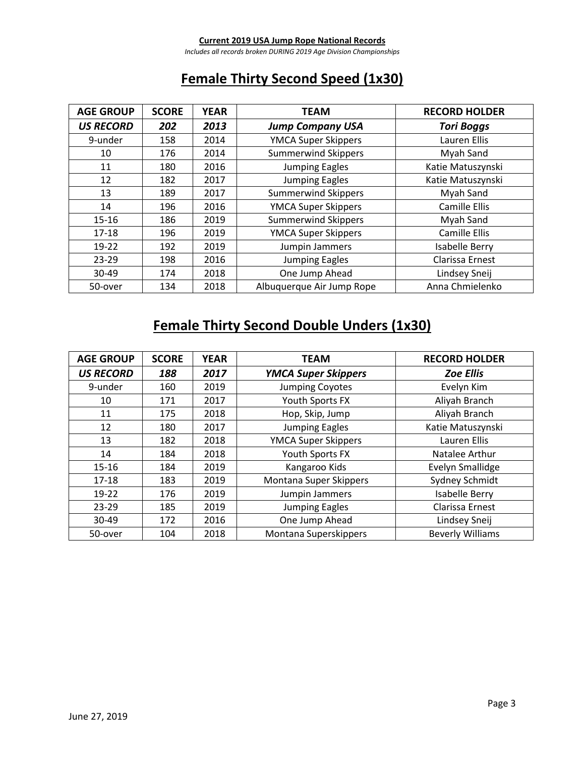*Includes all records broken DURING 2019 Age Division Championships*

## **Female Thirty Second Speed (1x30)**

| <b>AGE GROUP</b> | <b>SCORE</b> | <b>YEAR</b> | <b>TEAM</b>                | <b>RECORD HOLDER</b> |
|------------------|--------------|-------------|----------------------------|----------------------|
| <b>US RECORD</b> | 202          | 2013        | <b>Jump Company USA</b>    | <b>Tori Boggs</b>    |
| 9-under          | 158          | 2014        | <b>YMCA Super Skippers</b> | Lauren Ellis         |
| 10               | 176          | 2014        | <b>Summerwind Skippers</b> | Myah Sand            |
| 11               | 180          | 2016        | <b>Jumping Eagles</b>      | Katie Matuszynski    |
| 12               | 182          | 2017        | <b>Jumping Eagles</b>      | Katie Matuszynski    |
| 13               | 189          | 2017        | <b>Summerwind Skippers</b> | Myah Sand            |
| 14               | 196          | 2016        | <b>YMCA Super Skippers</b> | <b>Camille Ellis</b> |
| $15 - 16$        | 186          | 2019        | <b>Summerwind Skippers</b> | Myah Sand            |
| $17 - 18$        | 196          | 2019        | <b>YMCA Super Skippers</b> | <b>Camille Ellis</b> |
| $19-22$          | 192          | 2019        | Jumpin Jammers             | Isabelle Berry       |
| $23 - 29$        | 198          | 2016        | <b>Jumping Eagles</b>      | Clarissa Ernest      |
| 30-49            | 174          | 2018        | One Jump Ahead             | Lindsey Sneij        |
| 50-over          | 134          | 2018        | Albuquerque Air Jump Rope  | Anna Chmielenko      |

# **Female Thirty Second Double Unders (1x30)**

| <b>AGE GROUP</b> | <b>SCORE</b> | <b>YEAR</b> | <b>TEAM</b>                | <b>RECORD HOLDER</b>    |
|------------------|--------------|-------------|----------------------------|-------------------------|
| <b>US RECORD</b> | 188          | 2017        | <b>YMCA Super Skippers</b> | <b>Zoe Ellis</b>        |
| 9-under          | 160          | 2019        | <b>Jumping Coyotes</b>     | Evelyn Kim              |
| 10               | 171          | 2017        | Youth Sports FX            | Aliyah Branch           |
| 11               | 175          | 2018        | Hop, Skip, Jump            | Aliyah Branch           |
| 12               | 180          | 2017        | <b>Jumping Eagles</b>      | Katie Matuszynski       |
| 13               | 182          | 2018        | <b>YMCA Super Skippers</b> | Lauren Ellis            |
| 14               | 184          | 2018        | Youth Sports FX            | Natalee Arthur          |
| $15 - 16$        | 184          | 2019        | Kangaroo Kids              | <b>Evelyn Smallidge</b> |
| $17 - 18$        | 183          | 2019        | Montana Super Skippers     | Sydney Schmidt          |
| $19 - 22$        | 176          | 2019        | Jumpin Jammers             | Isabelle Berry          |
| $23 - 29$        | 185          | 2019        | <b>Jumping Eagles</b>      | Clarissa Ernest         |
| 30-49            | 172          | 2016        | One Jump Ahead             | Lindsey Sneij           |
| 50-over          | 104          | 2018        | Montana Superskippers      | <b>Beverly Williams</b> |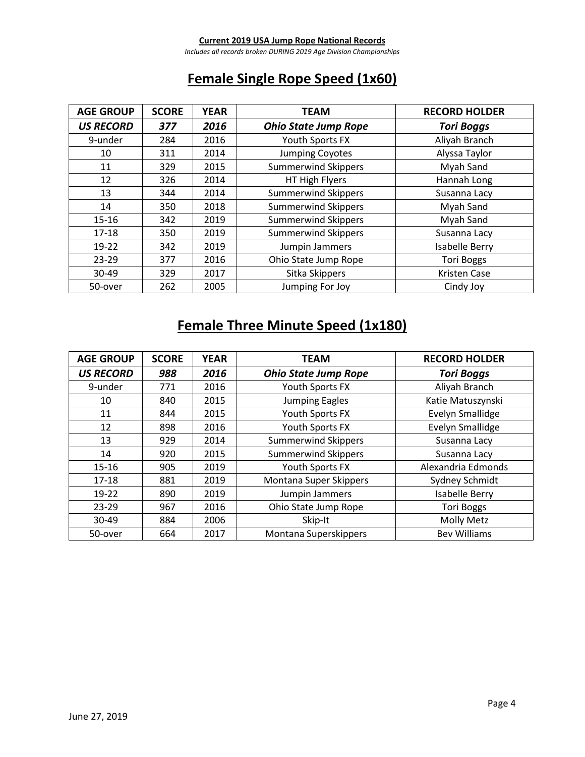*Includes all records broken DURING 2019 Age Division Championships*

# **Female Single Rope Speed (1x60)**

| <b>AGE GROUP</b> | <b>SCORE</b> | <b>YEAR</b> | <b>TEAM</b>                 | <b>RECORD HOLDER</b> |
|------------------|--------------|-------------|-----------------------------|----------------------|
| <b>US RECORD</b> | 377          | 2016        | <b>Ohio State Jump Rope</b> | <b>Tori Boggs</b>    |
| 9-under          | 284          | 2016        | Youth Sports FX             | Aliyah Branch        |
| 10               | 311          | 2014        | <b>Jumping Coyotes</b>      | Alyssa Taylor        |
| 11               | 329          | 2015        | <b>Summerwind Skippers</b>  | Myah Sand            |
| 12               | 326          | 2014        | HT High Flyers              | Hannah Long          |
| 13               | 344          | 2014        | <b>Summerwind Skippers</b>  | Susanna Lacy         |
| 14               | 350          | 2018        | <b>Summerwind Skippers</b>  | Myah Sand            |
| $15 - 16$        | 342          | 2019        | <b>Summerwind Skippers</b>  | Myah Sand            |
| $17 - 18$        | 350          | 2019        | <b>Summerwind Skippers</b>  | Susanna Lacy         |
| $19 - 22$        | 342          | 2019        | Jumpin Jammers              | Isabelle Berry       |
| 23-29            | 377          | 2016        | Ohio State Jump Rope        | <b>Tori Boggs</b>    |
| 30-49            | 329          | 2017        | Sitka Skippers              | <b>Kristen Case</b>  |
| 50-over          | 262          | 2005        | Jumping For Joy             | Cindy Joy            |

# **Female Three Minute Speed (1x180)**

| <b>AGE GROUP</b> | <b>SCORE</b> | <b>YEAR</b> | <b>TEAM</b>                 | <b>RECORD HOLDER</b>    |
|------------------|--------------|-------------|-----------------------------|-------------------------|
| <b>US RECORD</b> | 988          | 2016        | <b>Ohio State Jump Rope</b> | <b>Tori Boggs</b>       |
| 9-under          | 771          | 2016        | Youth Sports FX             | Aliyah Branch           |
| 10               | 840          | 2015        | <b>Jumping Eagles</b>       | Katie Matuszynski       |
| 11               | 844          | 2015        | Youth Sports FX             | <b>Evelyn Smallidge</b> |
| 12               | 898          | 2016        | Youth Sports FX             | <b>Evelyn Smallidge</b> |
| 13               | 929          | 2014        | <b>Summerwind Skippers</b>  | Susanna Lacy            |
| 14               | 920          | 2015        | <b>Summerwind Skippers</b>  | Susanna Lacy            |
| $15 - 16$        | 905          | 2019        | Youth Sports FX             | Alexandria Edmonds      |
| $17 - 18$        | 881          | 2019        | Montana Super Skippers      | Sydney Schmidt          |
| $19-22$          | 890          | 2019        | Jumpin Jammers              | Isabelle Berry          |
| $23 - 29$        | 967          | 2016        | Ohio State Jump Rope        | <b>Tori Boggs</b>       |
| $30 - 49$        | 884          | 2006        | Skip-It                     | <b>Molly Metz</b>       |
| 50-over          | 664          | 2017        | Montana Superskippers       | <b>Bev Williams</b>     |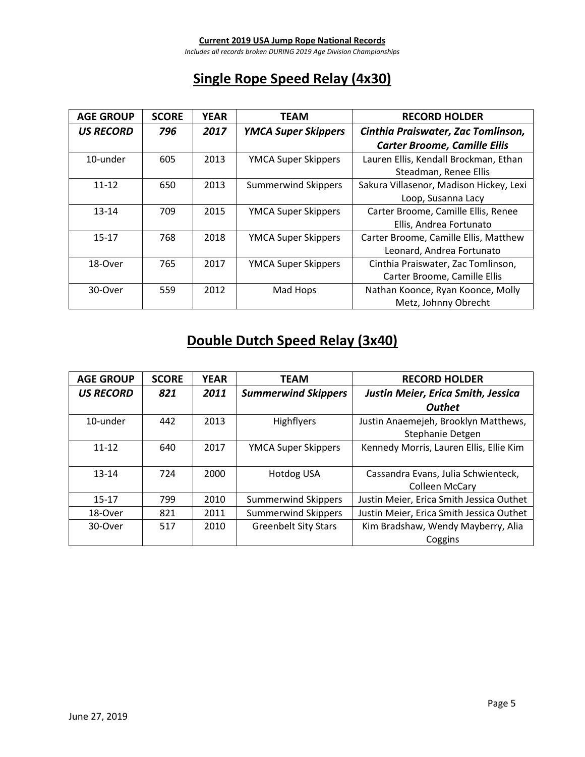*Includes all records broken DURING 2019 Age Division Championships*

## **Single Rope Speed Relay (4x30)**

| <b>AGE GROUP</b> | <b>SCORE</b> | <b>YEAR</b> | <b>TEAM</b>                | <b>RECORD HOLDER</b>                    |
|------------------|--------------|-------------|----------------------------|-----------------------------------------|
| <b>US RECORD</b> | 796          | 2017        | <b>YMCA Super Skippers</b> | Cinthia Praiswater, Zac Tomlinson,      |
|                  |              |             |                            | <b>Carter Broome, Camille Ellis</b>     |
| 10-under         | 605          | 2013        | <b>YMCA Super Skippers</b> | Lauren Ellis, Kendall Brockman, Ethan   |
|                  |              |             |                            | Steadman, Renee Ellis                   |
| $11 - 12$        | 650          | 2013        | <b>Summerwind Skippers</b> | Sakura Villasenor, Madison Hickey, Lexi |
|                  |              |             |                            | Loop, Susanna Lacy                      |
| $13 - 14$        | 709          | 2015        | <b>YMCA Super Skippers</b> | Carter Broome, Camille Ellis, Renee     |
|                  |              |             |                            | Ellis, Andrea Fortunato                 |
| $15 - 17$        | 768          | 2018        | <b>YMCA Super Skippers</b> | Carter Broome, Camille Ellis, Matthew   |
|                  |              |             |                            | Leonard, Andrea Fortunato               |
| 18-Over          | 765          | 2017        | <b>YMCA Super Skippers</b> | Cinthia Praiswater, Zac Tomlinson,      |
|                  |              |             |                            | Carter Broome, Camille Ellis            |
| 30-Over          | 559          | 2012        | Mad Hops                   | Nathan Koonce, Ryan Koonce, Molly       |
|                  |              |             |                            | Metz, Johnny Obrecht                    |

# **Double Dutch Speed Relay (3x40)**

| <b>AGE GROUP</b> | <b>SCORE</b> | <b>YEAR</b> | <b>TEAM</b>                 | <b>RECORD HOLDER</b>                     |
|------------------|--------------|-------------|-----------------------------|------------------------------------------|
| <b>US RECORD</b> | 821          | 2011        | <b>Summerwind Skippers</b>  | Justin Meier, Erica Smith, Jessica       |
|                  |              |             |                             | <b>Outhet</b>                            |
| 10-under         | 442          | 2013        | Highflyers                  | Justin Anaemejeh, Brooklyn Matthews,     |
|                  |              |             |                             | Stephanie Detgen                         |
| $11 - 12$        | 640          | 2017        | <b>YMCA Super Skippers</b>  | Kennedy Morris, Lauren Ellis, Ellie Kim  |
|                  |              |             |                             |                                          |
| $13 - 14$        | 724          | 2000        | <b>Hotdog USA</b>           | Cassandra Evans, Julia Schwienteck,      |
|                  |              |             |                             | <b>Colleen McCary</b>                    |
| $15 - 17$        | 799          | 2010        | <b>Summerwind Skippers</b>  | Justin Meier, Erica Smith Jessica Outhet |
| 18-Over          | 821          | 2011        | <b>Summerwind Skippers</b>  | Justin Meier, Erica Smith Jessica Outhet |
| 30-Over          | 517          | 2010        | <b>Greenbelt Sity Stars</b> | Kim Bradshaw, Wendy Mayberry, Alia       |
|                  |              |             |                             | Coggins                                  |